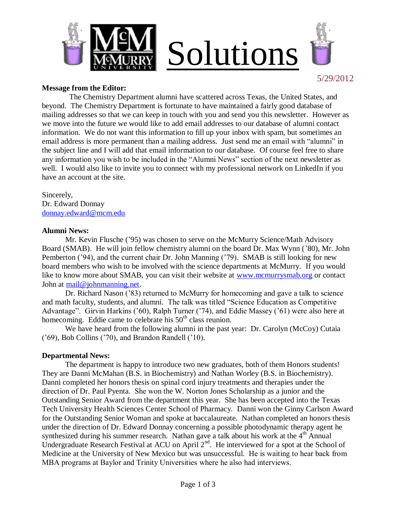



# **Message from the Editor:**

 The Chemistry Department alumni have scattered across Texas, the United States, and beyond. The Chemistry Department is fortunate to have maintained a fairly good database of mailing addresses so that we can keep in touch with you and send you this newsletter. However as we move into the future we would like to add email addresses to our database of alumni contact information. We do not want this information to fill up your inbox with spam, but sometimes an email address is more permanent than a mailing address. Just send me an email with "alumni" in the subject line and I will add that email information to our database. Of course feel free to share any information you wish to be included in the "Alumni News" section of the next newsletter as well. I would also like to invite you to connect with my professional network on LinkedIn if you have an account at the site.

Sincerely, Dr. Edward Donnay [donnay.edward@mcm.edu](mailto:donnay.edward@mcm.edu)

# **Alumni News:**

Mr. Kevin Flusche ('95) was chosen to serve on the McMurry Science/Math Advisory Board (SMAB). He will join fellow chemistry alumni on the board Dr. Max Wynn ('80), Mr. John Pemberton ('94), and the current chair Dr. John Manning ('79). SMAB is still looking for new board members who wish to be involved with the science departments at McMurry. If you would like to know more about SMAB, you can visit their website at [www.mcmurrysmab.org](http://www.mcmurrysmab.org/) or contact John at [mail@johnmanning.net.](mailto:mail@johnmanning.net)

Dr. Richard Nason ('83) returned to McMurry for homecoming and gave a talk to science and math faculty, students, and alumni. The talk was titled "Science Education as Competitive Advantage". Girvin Harkins ('60), Ralph Turner ('74), and Eddie Massey ('61) were also here at homecoming. Eddie came to celebrate his  $50<sup>th</sup>$  class reunion.

We have heard from the following alumni in the past year: Dr. Carolyn (McCoy) Cutaia ('69), Bob Collins ('70), and Brandon Randell ('10).

# **Departmental News:**

The department is happy to introduce two new graduates, both of them Honors students! They are Danni McMahan (B.S. in Biochemistry) and Nathan Worley (B.S. in Biochemistry). Danni completed her honors thesis on spinal cord injury treatments and therapies under the direction of Dr. Paul Pyenta. She won the W. Norton Jones Scholarship as a junior and the Outstanding Senior Award from the department this year. She has been accepted into the Texas Tech University Health Sciences Center School of Pharmacy. Danni won the Ginny Carlson Award for the Outstanding Senior Woman and spoke at baccalaureate. Nathan completed an honors thesis under the direction of Dr. Edward Donnay concerning a possible photodynamic therapy agent he synthesized during his summer research. Nathan gave a talk about his work at the  $4<sup>th</sup>$  Annual Undergraduate Research Festival at ACU on April 2<sup>nd</sup>. He interviewed for a spot at the School of Medicine at the University of New Mexico but was unsuccessful. He is waiting to hear back from MBA programs at Baylor and Trinity Universities where he also had interviews.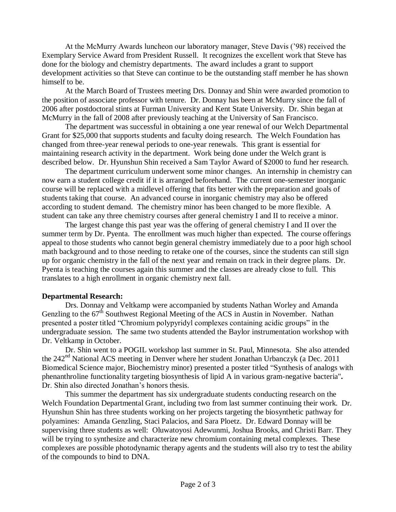At the McMurry Awards luncheon our laboratory manager, Steve Davis ('98) received the Exemplary Service Award from President Russell. It recognizes the excellent work that Steve has done for the biology and chemistry departments. The award includes a grant to support development activities so that Steve can continue to be the outstanding staff member he has shown himself to be.

At the March Board of Trustees meeting Drs. Donnay and Shin were awarded promotion to the position of associate professor with tenure. Dr. Donnay has been at McMurry since the fall of 2006 after postdoctoral stints at Furman University and Kent State University. Dr. Shin began at McMurry in the fall of 2008 after previously teaching at the University of San Francisco.

The department was successful in obtaining a one year renewal of our Welch Departmental Grant for \$25,000 that supports students and faculty doing research. The Welch Foundation has changed from three-year renewal periods to one-year renewals. This grant is essential for maintaining research activity in the department. Work being done under the Welch grant is described below. Dr. Hyunshun Shin received a Sam Taylor Award of \$2000 to fund her research.

The department curriculum underwent some minor changes. An internship in chemistry can now earn a student college credit if it is arranged beforehand. The current one-semester inorganic course will be replaced with a midlevel offering that fits better with the preparation and goals of students taking that course. An advanced course in inorganic chemistry may also be offered according to student demand. The chemistry minor has been changed to be more flexible. A student can take any three chemistry courses after general chemistry I and II to receive a minor.

The largest change this past year was the offering of general chemistry I and II over the summer term by Dr. Pyenta. The enrollment was much higher than expected. The course offerings appeal to those students who cannot begin general chemistry immediately due to a poor high school math background and to those needing to retake one of the courses, since the students can still sign up for organic chemistry in the fall of the next year and remain on track in their degree plans. Dr. Pyenta is teaching the courses again this summer and the classes are already close to full. This translates to a high enrollment in organic chemistry next fall.

# **Departmental Research:**

Drs. Donnay and Veltkamp were accompanied by students Nathan Worley and Amanda Genzling to the  $67<sup>th</sup>$  Southwest Regional Meeting of the ACS in Austin in November. Nathan presented a poster titled "Chromium polypyridyl complexes containing acidic groups" in the undergraduate session. The same two students attended the Baylor instrumentation workshop with Dr. Veltkamp in October.

Dr. Shin went to a POGIL workshop last summer in St. Paul, Minnesota. She also attended the  $242<sup>nd</sup>$  National ACS meeting in Denver where her student Jonathan Urbanczyk (a Dec. 2011 Biomedical Science major, Biochemistry minor) presented a poster titled "Synthesis of analogs with phenanthroline functionality targeting biosynthesis of lipid A in various gram-negative bacteria"**.** Dr. Shin also directed Jonathan's honors thesis.

This summer the department has six undergraduate students conducting research on the Welch Foundation Departmental Grant, including two from last summer continuing their work. Dr. Hyunshun Shin has three students working on her projects targeting the biosynthetic pathway for polyamines: Amanda Genzling, Staci Palacios, and Sara Ploetz. Dr. Edward Donnay will be supervising three students as well: Oluwatoyosi Adewunmi, Joshua Brooks, and Christi Barr. They will be trying to synthesize and characterize new chromium containing metal complexes. These complexes are possible photodynamic therapy agents and the students will also try to test the ability of the compounds to bind to DNA.